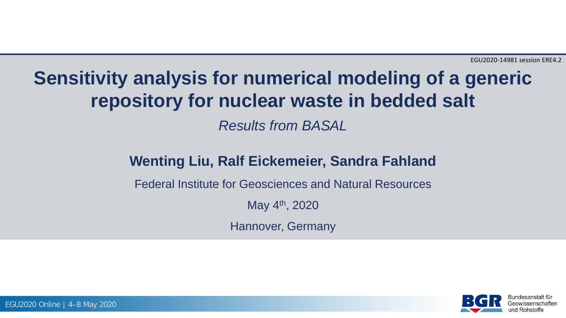## **The Prepository for nuclear waste in bedded salt Sensitivity analysis for numerical modeling of a generic**

**barrier integrity in bedded salt formation in bedded** salt for the salt of the salt of the salt of the salt of the salt of the salt of the salt of the salt of the salt of the salt of the salt of the salt of the salt of th *Results from BASAL*

#### *Results from R&D Project KOSINA* **Wenting Liu, Ralf Eickemeier, Sandra Fahland**

Federal Institute for Geosciences and Natural Resources

May 4th , 2020

Hannover, Germany

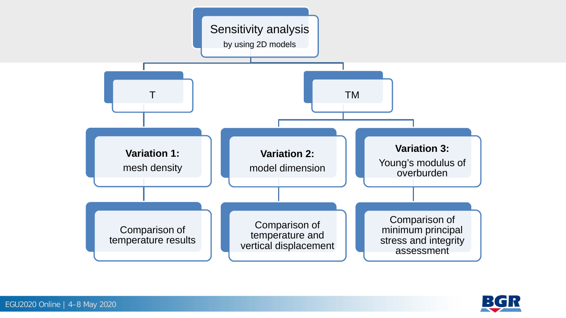

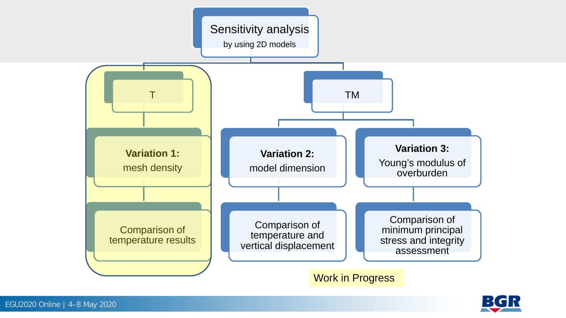

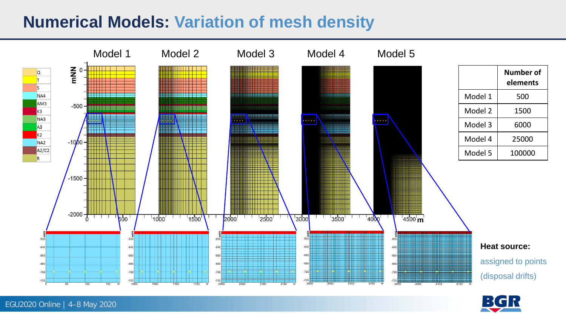## **Numerical Models: Variation of mesh density**



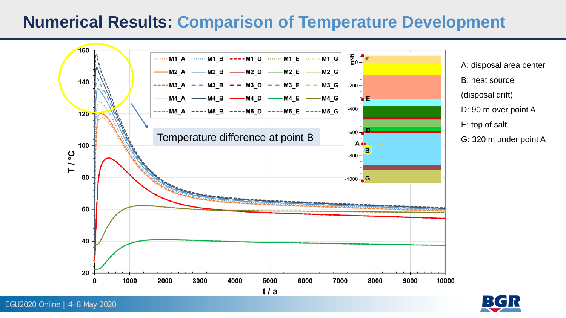### **Numerical Results: Comparison of Temperature Development**



A: disposal area center B: heat source (disposal drift) D: 90 m over point A E: top of salt G: 320 m under point A